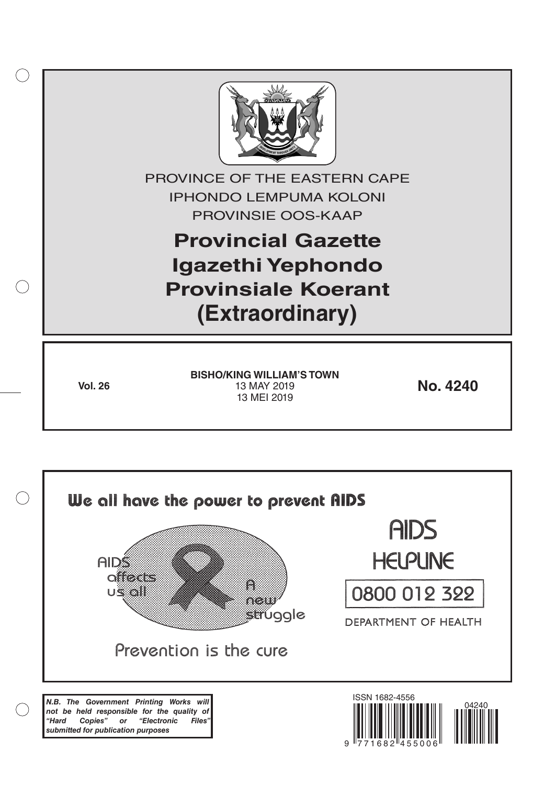

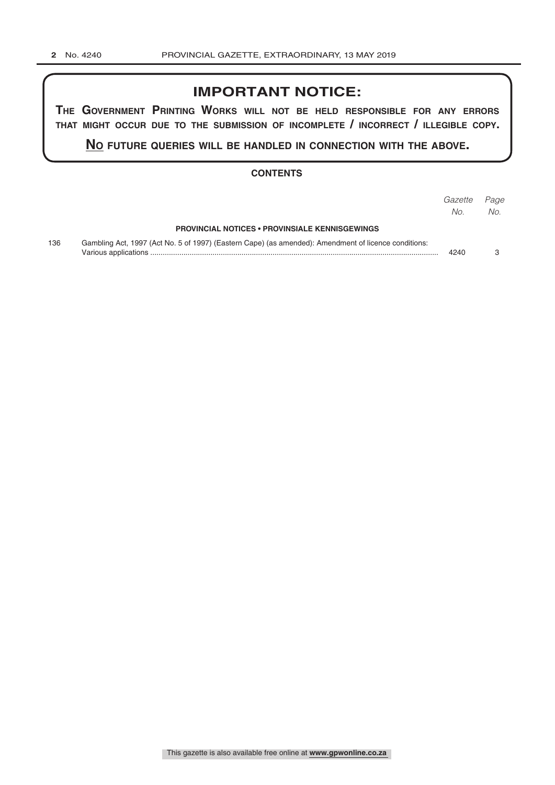# **IMPORTANT NOTICE:**

**The GovernmenT PrinTinG Works Will noT be held resPonsible for any errors ThaT miGhT occur due To The submission of incomPleTe / incorrecT / illeGible coPy.**

**no fuTure queries Will be handled in connecTion WiTh The above.**

## **CONTENTS**

|     |                                                                                                      | Gazette<br>No. | Page<br>No. |
|-----|------------------------------------------------------------------------------------------------------|----------------|-------------|
|     | <b>PROVINCIAL NOTICES • PROVINSIALE KENNISGEWINGS</b>                                                |                |             |
| 136 | Gambling Act, 1997 (Act No. 5 of 1997) (Eastern Cape) (as amended): Amendment of licence conditions: | 4240           |             |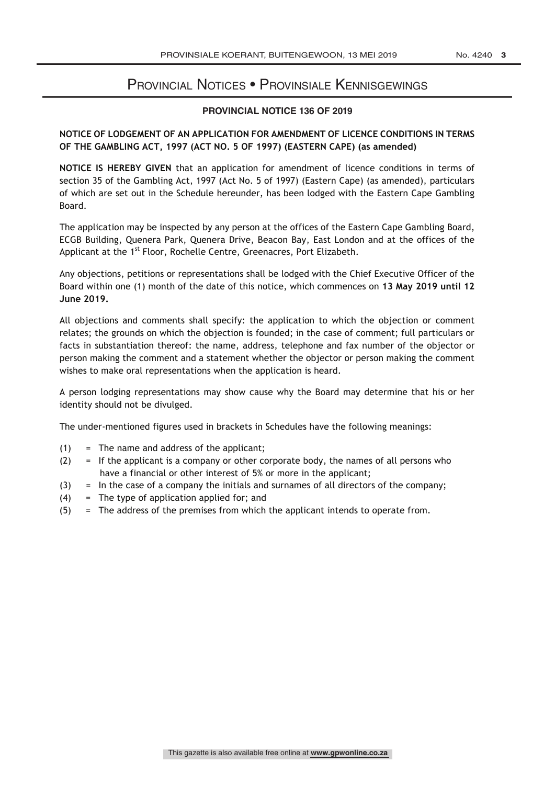## Provincial Notices • Provinsiale Kennisgewings

## **PROVINCIAL NOTICE 136 OF 2019**

## **NOTICE OF LODGEMENT OF AN APPLICATION FOR AMENDMENT OF LICENCE CONDITIONS IN TERMS OF THE GAMBLING ACT, 1997 (ACT NO. 5 OF 1997) (EASTERN CAPE) (as amended)**

**NOTICE IS HEREBY GIVEN** that an application for amendment of licence conditions in terms of section 35 of the Gambling Act, 1997 (Act No. 5 of 1997) (Eastern Cape) (as amended), particulars of which are set out in the Schedule hereunder, has been lodged with the Eastern Cape Gambling Board.

The application may be inspected by any person at the offices of the Eastern Cape Gambling Board, ECGB Building, Quenera Park, Quenera Drive, Beacon Bay, East London and at the offices of the Applicant at the 1<sup>st</sup> Floor, Rochelle Centre, Greenacres, Port Elizabeth.

Any objections, petitions or representations shall be lodged with the Chief Executive Officer of the Board within one (1) month of the date of this notice, which commences on **13 May 2019 until 12 June 2019.**

All objections and comments shall specify: the application to which the objection or comment relates; the grounds on which the objection is founded; in the case of comment; full particulars or facts in substantiation thereof: the name, address, telephone and fax number of the objector or person making the comment and a statement whether the objector or person making the comment wishes to make oral representations when the application is heard.

A person lodging representations may show cause why the Board may determine that his or her identity should not be divulged.

The under-mentioned figures used in brackets in Schedules have the following meanings:

- (1) = The name and address of the applicant;
- $(2)$  = If the applicant is a company or other corporate body, the names of all persons who have a financial or other interest of 5% or more in the applicant;
- (3) = In the case of a company the initials and surnames of all directors of the company;
- (4) = The type of application applied for; and
- (5) = The address of the premises from which the applicant intends to operate from.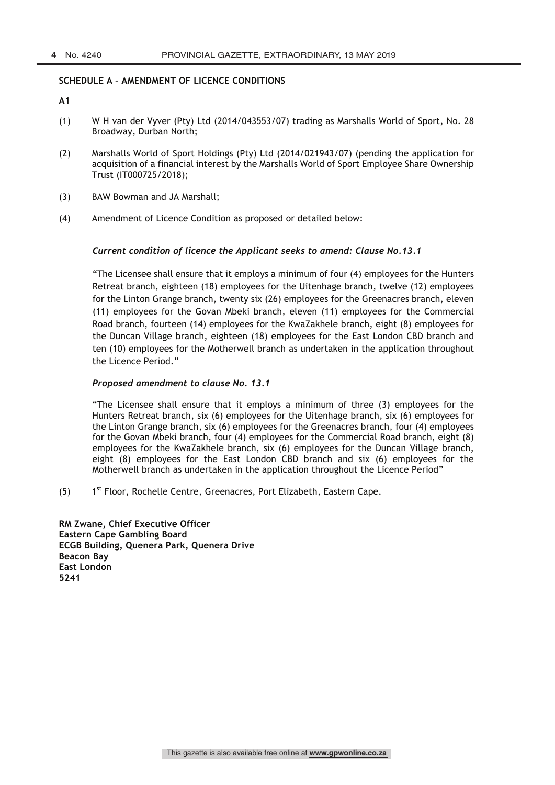### **SCHEDULE A – AMENDMENT OF LICENCE CONDITIONS**

#### **A1**

- (1) W H van der Vyver (Pty) Ltd (2014/043553/07) trading as Marshalls World of Sport, No. 28 Broadway, Durban North;
- (2) Marshalls World of Sport Holdings (Pty) Ltd (2014/021943/07) (pending the application for acquisition of a financial interest by the Marshalls World of Sport Employee Share Ownership Trust (IT000725/2018);
- (3) BAW Bowman and JA Marshall;
- (4) Amendment of Licence Condition as proposed or detailed below:

### *Current condition of licence the Applicant seeks to amend: Clause No.13.1*

"The Licensee shall ensure that it employs a minimum of four (4) employees for the Hunters Retreat branch, eighteen (18) employees for the Uitenhage branch, twelve (12) employees for the Linton Grange branch, twenty six (26) employees for the Greenacres branch, eleven (11) employees for the Govan Mbeki branch, eleven (11) employees for the Commercial Road branch, fourteen (14) employees for the KwaZakhele branch, eight (8) employees for the Duncan Village branch, eighteen (18) employees for the East London CBD branch and ten (10) employees for the Motherwell branch as undertaken in the application throughout the Licence Period."

#### *Proposed amendment to clause No. 13.1*

"The Licensee shall ensure that it employs a minimum of three (3) employees for the Hunters Retreat branch, six (6) employees for the Uitenhage branch, six (6) employees for the Linton Grange branch, six (6) employees for the Greenacres branch, four (4) employees for the Govan Mbeki branch, four (4) employees for the Commercial Road branch, eight (8) employees for the KwaZakhele branch, six (6) employees for the Duncan Village branch, eight (8) employees for the East London CBD branch and six (6) employees for the Motherwell branch as undertaken in the application throughout the Licence Period"

 $(5)$  1<sup>st</sup> Floor, Rochelle Centre, Greenacres, Port Elizabeth, Eastern Cape.

**RM Zwane, Chief Executive Officer Eastern Cape Gambling Board ECGB Building, Quenera Park, Quenera Drive Beacon Bay East London 5241**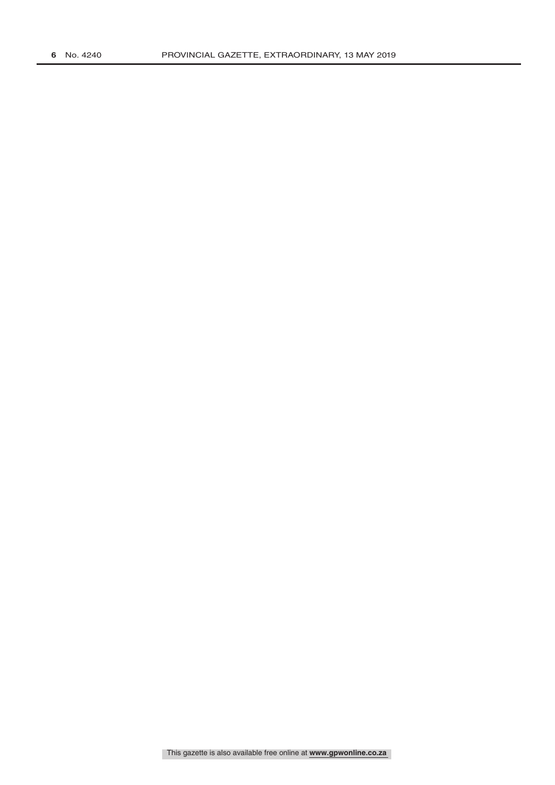This gazette is also available free online at **www.gpwonline.co.za**